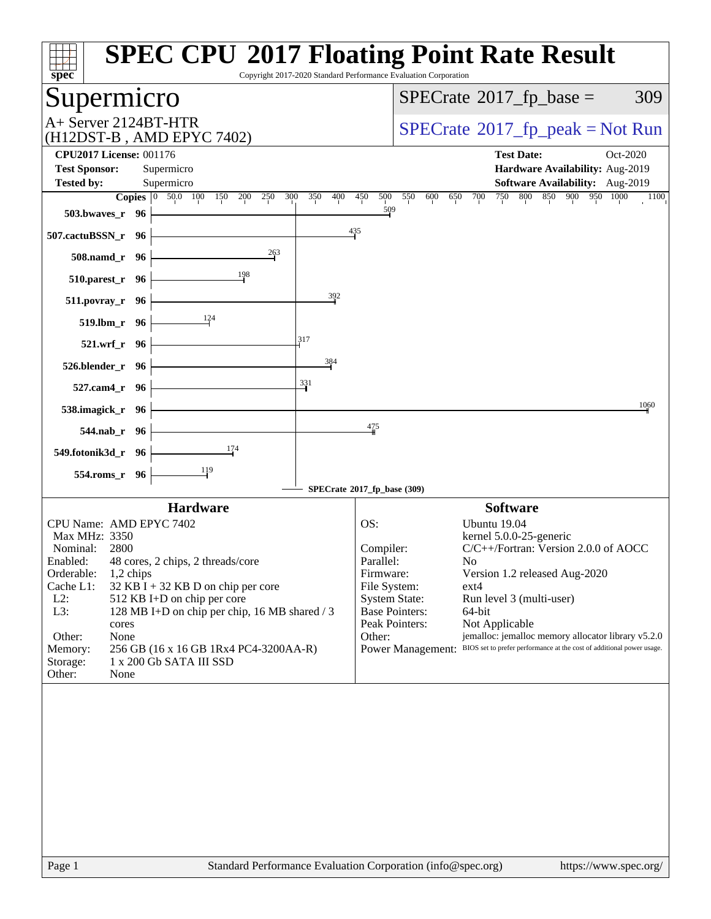| spec <sup>®</sup>                                                                                                                                                                                                                                                                                                                                                                                                                                      | <b>SPEC CPU®2017 Floating Point Rate Result</b><br>Copyright 2017-2020 Standard Performance Evaluation Corporation                                                                                                                                                                                                                                                                                                                                                                                                  |
|--------------------------------------------------------------------------------------------------------------------------------------------------------------------------------------------------------------------------------------------------------------------------------------------------------------------------------------------------------------------------------------------------------------------------------------------------------|---------------------------------------------------------------------------------------------------------------------------------------------------------------------------------------------------------------------------------------------------------------------------------------------------------------------------------------------------------------------------------------------------------------------------------------------------------------------------------------------------------------------|
| Supermicro                                                                                                                                                                                                                                                                                                                                                                                                                                             | $SPECTate$ <sup>®</sup> 2017_fp_base =<br>309                                                                                                                                                                                                                                                                                                                                                                                                                                                                       |
| A+ Server 2124BT-HTR<br>(H12DST-B, AMD EPYC 7402)                                                                                                                                                                                                                                                                                                                                                                                                      | $SPECrate^{\circ}2017rfp peak = Not Run$                                                                                                                                                                                                                                                                                                                                                                                                                                                                            |
| <b>CPU2017 License: 001176</b><br><b>Test Sponsor:</b><br>Supermicro                                                                                                                                                                                                                                                                                                                                                                                   | <b>Test Date:</b><br>Oct-2020<br>Hardware Availability: Aug-2019                                                                                                                                                                                                                                                                                                                                                                                                                                                    |
| <b>Tested by:</b><br>Supermicro                                                                                                                                                                                                                                                                                                                                                                                                                        | Software Availability: Aug-2019                                                                                                                                                                                                                                                                                                                                                                                                                                                                                     |
| Copies 0 50.0 100 150 200 250<br>300<br>350<br>400<br>$503.bwaves_r$ 96                                                                                                                                                                                                                                                                                                                                                                                | 800 850 900 950 1000<br>500 550<br>750<br>450<br>600<br>700<br>1100<br>650<br>509                                                                                                                                                                                                                                                                                                                                                                                                                                   |
| 507.cactuBSSN_r 96                                                                                                                                                                                                                                                                                                                                                                                                                                     | $\frac{435}{4}$                                                                                                                                                                                                                                                                                                                                                                                                                                                                                                     |
| 263<br>$508$ .namd_r 96                                                                                                                                                                                                                                                                                                                                                                                                                                |                                                                                                                                                                                                                                                                                                                                                                                                                                                                                                                     |
| $\frac{198}{ }$<br>510.parest_r 96                                                                                                                                                                                                                                                                                                                                                                                                                     |                                                                                                                                                                                                                                                                                                                                                                                                                                                                                                                     |
| 392<br>511.povray_r 96                                                                                                                                                                                                                                                                                                                                                                                                                                 |                                                                                                                                                                                                                                                                                                                                                                                                                                                                                                                     |
| 519.lbm_r 96<br>317                                                                                                                                                                                                                                                                                                                                                                                                                                    |                                                                                                                                                                                                                                                                                                                                                                                                                                                                                                                     |
| 521.wrf_r 96<br>384                                                                                                                                                                                                                                                                                                                                                                                                                                    |                                                                                                                                                                                                                                                                                                                                                                                                                                                                                                                     |
| 526.blender_r 96<br>331<br>527.cam4_r 96                                                                                                                                                                                                                                                                                                                                                                                                               |                                                                                                                                                                                                                                                                                                                                                                                                                                                                                                                     |
| 538.imagick_r $96$                                                                                                                                                                                                                                                                                                                                                                                                                                     | 1060                                                                                                                                                                                                                                                                                                                                                                                                                                                                                                                |
| $544$ .nab_r 96                                                                                                                                                                                                                                                                                                                                                                                                                                        | 475                                                                                                                                                                                                                                                                                                                                                                                                                                                                                                                 |
| <u>174</u><br>549.fotonik3d_r 96 $\vert$                                                                                                                                                                                                                                                                                                                                                                                                               |                                                                                                                                                                                                                                                                                                                                                                                                                                                                                                                     |
| 554.roms_r 96                                                                                                                                                                                                                                                                                                                                                                                                                                          |                                                                                                                                                                                                                                                                                                                                                                                                                                                                                                                     |
|                                                                                                                                                                                                                                                                                                                                                                                                                                                        | SPECrate®2017_fp_base (309)                                                                                                                                                                                                                                                                                                                                                                                                                                                                                         |
| <b>Hardware</b><br>CPU Name: AMD EPYC 7402<br>Max MHz: 3350<br>Nominal:<br>2800<br>Enabled: 48 cores, 2 chips, 2 threads/core<br>Orderable:<br>1,2 chips<br>Cache L1:<br>$32$ KB I + 32 KB D on chip per core<br>$L2$ :<br>512 KB I+D on chip per core<br>L3:<br>128 MB I+D on chip per chip, 16 MB shared / 3<br>cores<br>Other:<br>None<br>256 GB (16 x 16 GB 1Rx4 PC4-3200AA-R)<br>Memory:<br>1 x 200 Gb SATA III SSD<br>Storage:<br>Other:<br>None | <b>Software</b><br>OS:<br>Ubuntu 19.04<br>kernel 5.0.0-25-generic<br>C/C++/Fortran: Version 2.0.0 of AOCC<br>Compiler:<br>Parallel:<br>No<br>Version 1.2 released Aug-2020<br>Firmware:<br>File System:<br>$ext{4}$<br><b>System State:</b><br>Run level 3 (multi-user)<br>64-bit<br><b>Base Pointers:</b><br>Peak Pointers:<br>Not Applicable<br>jemalloc: jemalloc memory allocator library v5.2.0<br>Other:<br>BIOS set to prefer performance at the cost of additional power usage.<br><b>Power Management:</b> |
| Page 1                                                                                                                                                                                                                                                                                                                                                                                                                                                 | Standard Performance Evaluation Corporation (info@spec.org)<br>https://www.spec.org/                                                                                                                                                                                                                                                                                                                                                                                                                                |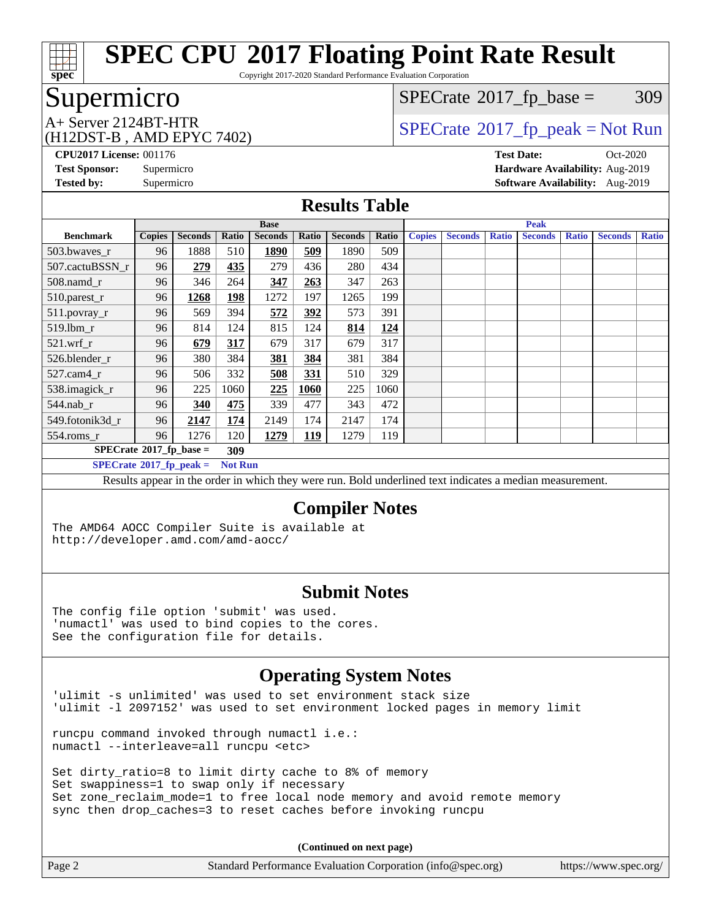

Copyright 2017-2020 Standard Performance Evaluation Corporation

## Supermicro

(H12DST-B , AMD EPYC 7402)

 $SPECTate@2017_fp\_base = 309$ 

## $A+$  Server 2124BT-HTR<br>(H12DST B AMD FBVC 7402)

**[CPU2017 License:](http://www.spec.org/auto/cpu2017/Docs/result-fields.html#CPU2017License)** 001176 **[Test Date:](http://www.spec.org/auto/cpu2017/Docs/result-fields.html#TestDate)** Oct-2020 **[Test Sponsor:](http://www.spec.org/auto/cpu2017/Docs/result-fields.html#TestSponsor)** Supermicro **[Hardware Availability:](http://www.spec.org/auto/cpu2017/Docs/result-fields.html#HardwareAvailability)** Aug-2019 **[Tested by:](http://www.spec.org/auto/cpu2017/Docs/result-fields.html#Testedby)** Supermicro **[Software Availability:](http://www.spec.org/auto/cpu2017/Docs/result-fields.html#SoftwareAvailability)** Aug-2019

#### **[Results Table](http://www.spec.org/auto/cpu2017/Docs/result-fields.html#ResultsTable)**

|                                  | <b>Base</b>                       |                |                |                |            |                |       | <b>Peak</b>   |                |              |                |              |                |              |
|----------------------------------|-----------------------------------|----------------|----------------|----------------|------------|----------------|-------|---------------|----------------|--------------|----------------|--------------|----------------|--------------|
| <b>Benchmark</b>                 | <b>Copies</b>                     | <b>Seconds</b> | Ratio          | <b>Seconds</b> | Ratio      | <b>Seconds</b> | Ratio | <b>Copies</b> | <b>Seconds</b> | <b>Ratio</b> | <b>Seconds</b> | <b>Ratio</b> | <b>Seconds</b> | <b>Ratio</b> |
| $503.bwaves_r$                   | 96                                | 1888           | 510            | 1890           | 509        | 1890           | 509   |               |                |              |                |              |                |              |
| 507.cactuBSSN r                  | 96                                | 279            | 435            | 279            | 436        | 280            | 434   |               |                |              |                |              |                |              |
| $508$ .namd $r$                  | 96                                | 346            | 264            | 347            | 263        | 347            | 263   |               |                |              |                |              |                |              |
| 510.parest_r                     | 96                                | 1268           | <b>198</b>     | 1272           | 197        | 1265           | 199   |               |                |              |                |              |                |              |
| 511.povray_r                     | 96                                | 569            | 394            | 572            | 392        | 573            | 391   |               |                |              |                |              |                |              |
| 519.lbm r                        | 96                                | 814            | 124            | 815            | 124        | 814            | 124   |               |                |              |                |              |                |              |
| $521$ .wrf r                     | 96                                | 679            | 317            | 679            | 317        | 679            | 317   |               |                |              |                |              |                |              |
| 526.blender r                    | 96                                | 380            | 384            | <u>381</u>     | <u>384</u> | 381            | 384   |               |                |              |                |              |                |              |
| $527$ .cam $4r$                  | 96                                | 506            | 332            | 508            | 331        | 510            | 329   |               |                |              |                |              |                |              |
| 538.imagick_r                    | 96                                | 225            | 1060           | 225            | 1060       | 225            | 1060  |               |                |              |                |              |                |              |
| $544$ .nab r                     | 96                                | 340            | 475            | 339            | 477        | 343            | 472   |               |                |              |                |              |                |              |
| 549.fotonik3d r                  | 96                                | 2147           | 174            | 2149           | 174        | 2147           | 174   |               |                |              |                |              |                |              |
| $554$ .roms_r                    | 96                                | 1276           | 120            | 1279           | <u>119</u> | 1279           | 119   |               |                |              |                |              |                |              |
|                                  | $SPECrate*2017_fp\_base =$<br>309 |                |                |                |            |                |       |               |                |              |                |              |                |              |
| $SPECrate^{\circ}2017$ fp peak = |                                   |                | <b>Not Run</b> |                |            |                |       |               |                |              |                |              |                |              |

Results appear in the [order in which they were run](http://www.spec.org/auto/cpu2017/Docs/result-fields.html#RunOrder). Bold underlined text [indicates a median measurement.](http://www.spec.org/auto/cpu2017/Docs/result-fields.html#Median)

#### **[Compiler Notes](http://www.spec.org/auto/cpu2017/Docs/result-fields.html#CompilerNotes)**

The AMD64 AOCC Compiler Suite is available at <http://developer.amd.com/amd-aocc/>

#### **[Submit Notes](http://www.spec.org/auto/cpu2017/Docs/result-fields.html#SubmitNotes)**

The config file option 'submit' was used. 'numactl' was used to bind copies to the cores. See the configuration file for details.

## **[Operating System Notes](http://www.spec.org/auto/cpu2017/Docs/result-fields.html#OperatingSystemNotes)**

'ulimit -s unlimited' was used to set environment stack size 'ulimit -l 2097152' was used to set environment locked pages in memory limit

runcpu command invoked through numactl i.e.: numactl --interleave=all runcpu <etc>

Set dirty\_ratio=8 to limit dirty cache to 8% of memory Set swappiness=1 to swap only if necessary Set zone\_reclaim\_mode=1 to free local node memory and avoid remote memory sync then drop\_caches=3 to reset caches before invoking runcpu

**(Continued on next page)**

| Page 2 | Standard Performance Evaluation Corporation (info@spec.org) | https://www.spec.org/ |
|--------|-------------------------------------------------------------|-----------------------|
|--------|-------------------------------------------------------------|-----------------------|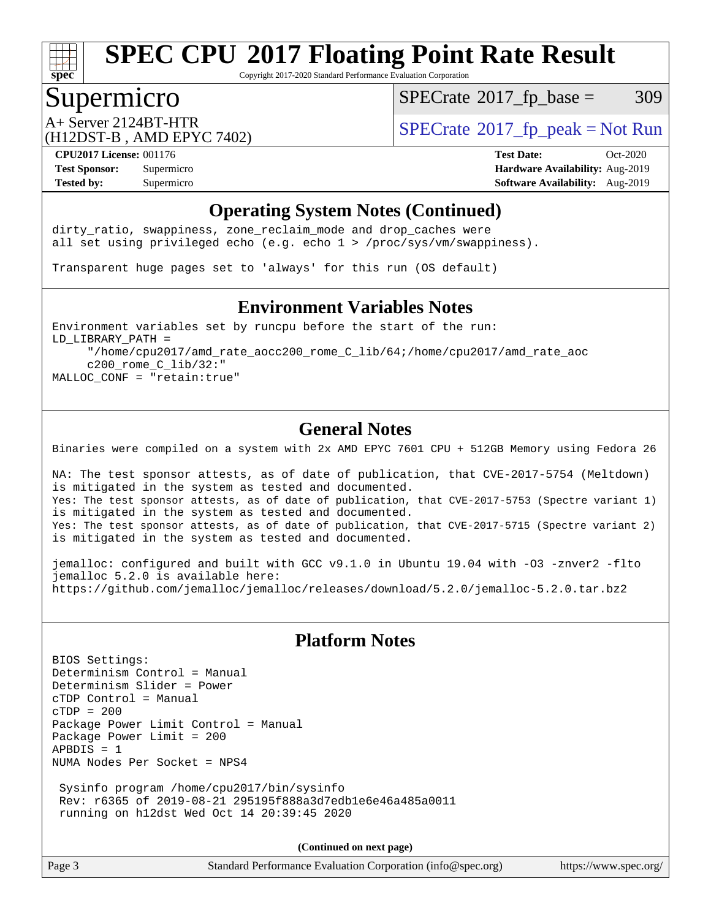

Copyright 2017-2020 Standard Performance Evaluation Corporation

## Supermicro

 $SPECTate@2017_fp\_base = 309$ 

(H12DST-B , AMD EPYC 7402)

 $A+$  Server 2124BT-HTR<br>(H12DST B AMD EBVC 7402)

**[Tested by:](http://www.spec.org/auto/cpu2017/Docs/result-fields.html#Testedby)** Supermicro **Supermicro [Software Availability:](http://www.spec.org/auto/cpu2017/Docs/result-fields.html#SoftwareAvailability)** Aug-2019

**[CPU2017 License:](http://www.spec.org/auto/cpu2017/Docs/result-fields.html#CPU2017License)** 001176 **[Test Date:](http://www.spec.org/auto/cpu2017/Docs/result-fields.html#TestDate)** Oct-2020 **[Test Sponsor:](http://www.spec.org/auto/cpu2017/Docs/result-fields.html#TestSponsor)** Supermicro **[Hardware Availability:](http://www.spec.org/auto/cpu2017/Docs/result-fields.html#HardwareAvailability)** Aug-2019

### **[Operating System Notes \(Continued\)](http://www.spec.org/auto/cpu2017/Docs/result-fields.html#OperatingSystemNotes)**

dirty\_ratio, swappiness, zone\_reclaim\_mode and drop caches were all set using privileged echo (e.g. echo 1 > /proc/sys/vm/swappiness).

Transparent huge pages set to 'always' for this run (OS default)

#### **[Environment Variables Notes](http://www.spec.org/auto/cpu2017/Docs/result-fields.html#EnvironmentVariablesNotes)**

Environment variables set by runcpu before the start of the run: LD\_LIBRARY\_PATH = "/home/cpu2017/amd\_rate\_aocc200\_rome\_C\_lib/64;/home/cpu2017/amd\_rate\_aoc c200\_rome\_C\_lib/32:" MALLOC\_CONF = "retain:true"

### **[General Notes](http://www.spec.org/auto/cpu2017/Docs/result-fields.html#GeneralNotes)**

Binaries were compiled on a system with 2x AMD EPYC 7601 CPU + 512GB Memory using Fedora 26

NA: The test sponsor attests, as of date of publication, that CVE-2017-5754 (Meltdown) is mitigated in the system as tested and documented. Yes: The test sponsor attests, as of date of publication, that CVE-2017-5753 (Spectre variant 1) is mitigated in the system as tested and documented. Yes: The test sponsor attests, as of date of publication, that CVE-2017-5715 (Spectre variant 2) is mitigated in the system as tested and documented.

jemalloc: configured and built with GCC v9.1.0 in Ubuntu 19.04 with -O3 -znver2 -flto jemalloc 5.2.0 is available here: <https://github.com/jemalloc/jemalloc/releases/download/5.2.0/jemalloc-5.2.0.tar.bz2>

## **[Platform Notes](http://www.spec.org/auto/cpu2017/Docs/result-fields.html#PlatformNotes)**

BIOS Settings: Determinism Control = Manual Determinism Slider = Power cTDP Control = Manual cTDP = 200 Package Power Limit Control = Manual Package Power Limit = 200  $APBDIS = 1$ NUMA Nodes Per Socket = NPS4 Sysinfo program /home/cpu2017/bin/sysinfo

 Rev: r6365 of 2019-08-21 295195f888a3d7edb1e6e46a485a0011 running on h12dst Wed Oct 14 20:39:45 2020

**(Continued on next page)**

Page 3 Standard Performance Evaluation Corporation [\(info@spec.org\)](mailto:info@spec.org) <https://www.spec.org/>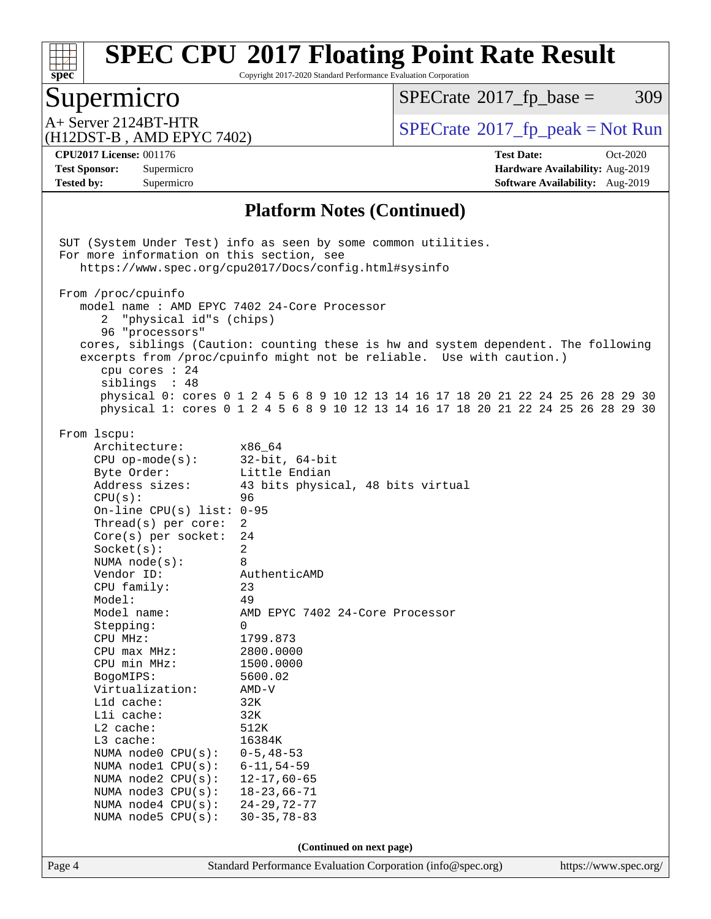

Copyright 2017-2020 Standard Performance Evaluation Corporation

# Supermicro

 $SPECrate@2017_fp\_base = 309$  $SPECrate@2017_fp\_base = 309$ 

(H12DST-B , AMD EPYC 7402)

A+ Server 2124BT-HTR<br>(H12DST-R) AMD FPYC 7402) [SPECrate](http://www.spec.org/auto/cpu2017/Docs/result-fields.html#SPECrate2017fppeak)®[2017\\_fp\\_peak = N](http://www.spec.org/auto/cpu2017/Docs/result-fields.html#SPECrate2017fppeak)ot Run

**[Tested by:](http://www.spec.org/auto/cpu2017/Docs/result-fields.html#Testedby)** Supermicro **Supermicro [Software Availability:](http://www.spec.org/auto/cpu2017/Docs/result-fields.html#SoftwareAvailability)** Aug-2019

**[CPU2017 License:](http://www.spec.org/auto/cpu2017/Docs/result-fields.html#CPU2017License)** 001176 **[Test Date:](http://www.spec.org/auto/cpu2017/Docs/result-fields.html#TestDate)** Oct-2020 **[Test Sponsor:](http://www.spec.org/auto/cpu2017/Docs/result-fields.html#TestSponsor)** Supermicro **[Hardware Availability:](http://www.spec.org/auto/cpu2017/Docs/result-fields.html#HardwareAvailability)** Aug-2019

### **[Platform Notes \(Continued\)](http://www.spec.org/auto/cpu2017/Docs/result-fields.html#PlatformNotes)**

| For more information on this section, see                                                                                                                | SUT (System Under Test) info as seen by some common utilities.                                                                                                                                                                                                                                                                        |                       |
|----------------------------------------------------------------------------------------------------------------------------------------------------------|---------------------------------------------------------------------------------------------------------------------------------------------------------------------------------------------------------------------------------------------------------------------------------------------------------------------------------------|-----------------------|
|                                                                                                                                                          | https://www.spec.org/cpu2017/Docs/config.html#sysinfo                                                                                                                                                                                                                                                                                 |                       |
|                                                                                                                                                          |                                                                                                                                                                                                                                                                                                                                       |                       |
| From /proc/cpuinfo<br>model name: AMD EPYC 7402 24-Core Processor<br>"physical id"s (chips)<br>2<br>96 "processors"<br>cpu cores $: 24$<br>siblings : 48 | cores, siblings (Caution: counting these is hw and system dependent. The following<br>excerpts from /proc/cpuinfo might not be reliable. Use with caution.)<br>physical 0: cores 0 1 2 4 5 6 8 9 10 12 13 14 16 17 18 20 21 22 24 25 26 28 29 30<br>physical 1: cores 0 1 2 4 5 6 8 9 10 12 13 14 16 17 18 20 21 22 24 25 26 28 29 30 |                       |
|                                                                                                                                                          |                                                                                                                                                                                                                                                                                                                                       |                       |
| From 1scpu:                                                                                                                                              |                                                                                                                                                                                                                                                                                                                                       |                       |
| Architecture:<br>$CPU$ op-mode( $s$ ):                                                                                                                   | x86_64<br>$32$ -bit, $64$ -bit                                                                                                                                                                                                                                                                                                        |                       |
| Byte Order:                                                                                                                                              | Little Endian                                                                                                                                                                                                                                                                                                                         |                       |
| Address sizes:                                                                                                                                           | 43 bits physical, 48 bits virtual                                                                                                                                                                                                                                                                                                     |                       |
| CPU(s):                                                                                                                                                  | 96                                                                                                                                                                                                                                                                                                                                    |                       |
| On-line CPU(s) list: $0-95$                                                                                                                              |                                                                                                                                                                                                                                                                                                                                       |                       |
| Thread(s) per core:                                                                                                                                      | 2                                                                                                                                                                                                                                                                                                                                     |                       |
| $Core(s)$ per socket:                                                                                                                                    | 24                                                                                                                                                                                                                                                                                                                                    |                       |
| Socket(s):                                                                                                                                               | $\overline{2}$                                                                                                                                                                                                                                                                                                                        |                       |
| NUMA node(s):                                                                                                                                            | 8                                                                                                                                                                                                                                                                                                                                     |                       |
| Vendor ID:                                                                                                                                               | AuthenticAMD                                                                                                                                                                                                                                                                                                                          |                       |
| CPU family:                                                                                                                                              | 23                                                                                                                                                                                                                                                                                                                                    |                       |
| Model:                                                                                                                                                   | 49                                                                                                                                                                                                                                                                                                                                    |                       |
| Model name:                                                                                                                                              | AMD EPYC 7402 24-Core Processor                                                                                                                                                                                                                                                                                                       |                       |
| Stepping:                                                                                                                                                | $\Omega$                                                                                                                                                                                                                                                                                                                              |                       |
| CPU MHz:                                                                                                                                                 | 1799.873                                                                                                                                                                                                                                                                                                                              |                       |
| $CPU$ max $MHz$ :                                                                                                                                        | 2800.0000                                                                                                                                                                                                                                                                                                                             |                       |
| CPU min MHz:                                                                                                                                             | 1500.0000<br>5600.02                                                                                                                                                                                                                                                                                                                  |                       |
| BogoMIPS:<br>Virtualization:                                                                                                                             | $AMD-V$                                                                                                                                                                                                                                                                                                                               |                       |
| Lld cache:                                                                                                                                               | 32K                                                                                                                                                                                                                                                                                                                                   |                       |
| Lli cache:                                                                                                                                               | 32K                                                                                                                                                                                                                                                                                                                                   |                       |
| $L2$ cache:                                                                                                                                              | 512K                                                                                                                                                                                                                                                                                                                                  |                       |
| L3 cache:                                                                                                                                                | 16384K                                                                                                                                                                                                                                                                                                                                |                       |
| NUMA node0 CPU(s): 0-5,48-53                                                                                                                             |                                                                                                                                                                                                                                                                                                                                       |                       |
| NUMA node1 CPU(s):                                                                                                                                       | $6 - 11, 54 - 59$                                                                                                                                                                                                                                                                                                                     |                       |
| NUMA node2 CPU(s):                                                                                                                                       | $12 - 17,60 - 65$                                                                                                                                                                                                                                                                                                                     |                       |
| NUMA node3 CPU(s):                                                                                                                                       | $18 - 23,66 - 71$                                                                                                                                                                                                                                                                                                                     |                       |
| NUMA node4 CPU(s):                                                                                                                                       | $24 - 29, 72 - 77$                                                                                                                                                                                                                                                                                                                    |                       |
| NUMA node5 CPU(s):                                                                                                                                       | $30 - 35, 78 - 83$                                                                                                                                                                                                                                                                                                                    |                       |
|                                                                                                                                                          | (Continued on next page)                                                                                                                                                                                                                                                                                                              |                       |
| Page 4                                                                                                                                                   | Standard Performance Evaluation Corporation (info@spec.org)                                                                                                                                                                                                                                                                           | https://www.spec.org/ |
|                                                                                                                                                          |                                                                                                                                                                                                                                                                                                                                       |                       |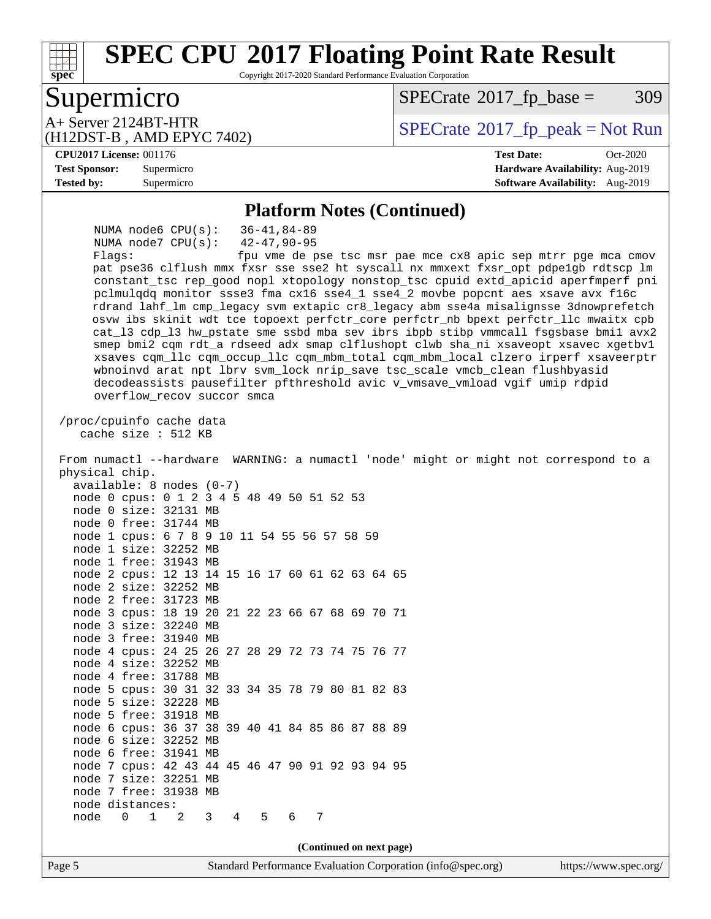## **[SPEC CPU](http://www.spec.org/auto/cpu2017/Docs/result-fields.html#SPECCPU2017FloatingPointRateResult)[2017 Floating Point Rate Result](http://www.spec.org/auto/cpu2017/Docs/result-fields.html#SPECCPU2017FloatingPointRateResult)** Copyright 2017-2020 Standard Performance Evaluation Corporation

## Supermicro

**[spec](http://www.spec.org/)**

 $SPECTate@2017_fp\_base = 309$ 

 $A+$  Server 2124BT-HTR<br>(H12DST-R) AMD FPYC 7402)  $\begin{array}{c} | \text{SPECrate} \textcircled{\textdegree} 2017\_fp\_peak = Not Run \end{array}$  $\begin{array}{c} | \text{SPECrate} \textcircled{\textdegree} 2017\_fp\_peak = Not Run \end{array}$  $\begin{array}{c} | \text{SPECrate} \textcircled{\textdegree} 2017\_fp\_peak = Not Run \end{array}$ 

#### **[CPU2017 License:](http://www.spec.org/auto/cpu2017/Docs/result-fields.html#CPU2017License)** 001176 **[Test Date:](http://www.spec.org/auto/cpu2017/Docs/result-fields.html#TestDate)** Oct-2020

(H12DST-B , AMD EPYC 7402)

**[Test Sponsor:](http://www.spec.org/auto/cpu2017/Docs/result-fields.html#TestSponsor)** Supermicro **[Hardware Availability:](http://www.spec.org/auto/cpu2017/Docs/result-fields.html#HardwareAvailability)** Aug-2019 **[Tested by:](http://www.spec.org/auto/cpu2017/Docs/result-fields.html#Testedby)** Supermicro **Supermicro [Software Availability:](http://www.spec.org/auto/cpu2017/Docs/result-fields.html#SoftwareAvailability)** Aug-2019

#### **[Platform Notes \(Continued\)](http://www.spec.org/auto/cpu2017/Docs/result-fields.html#PlatformNotes)**

 NUMA node6 CPU(s): 36-41,84-89 NUMA node7 CPU(s): 42-47,90-95 Flags: fpu vme de pse tsc msr pae mce cx8 apic sep mtrr pge mca cmov pat pse36 clflush mmx fxsr sse sse2 ht syscall nx mmxext fxsr\_opt pdpe1gb rdtscp lm constant\_tsc rep\_good nopl xtopology nonstop\_tsc cpuid extd\_apicid aperfmperf pni pclmulqdq monitor ssse3 fma cx16 sse4\_1 sse4\_2 movbe popcnt aes xsave avx f16c rdrand lahf\_lm cmp\_legacy svm extapic cr8\_legacy abm sse4a misalignsse 3dnowprefetch osvw ibs skinit wdt tce topoext perfctr\_core perfctr\_nb bpext perfctr\_llc mwaitx cpb cat\_l3 cdp\_l3 hw\_pstate sme ssbd mba sev ibrs ibpb stibp vmmcall fsgsbase bmi1 avx2 smep bmi2 cqm rdt\_a rdseed adx smap clflushopt clwb sha\_ni xsaveopt xsavec xgetbv1 xsaves cqm\_llc cqm\_occup\_llc cqm\_mbm\_total cqm\_mbm\_local clzero irperf xsaveerptr wbnoinvd arat npt lbrv svm\_lock nrip\_save tsc\_scale vmcb\_clean flushbyasid decodeassists pausefilter pfthreshold avic v\_vmsave\_vmload vgif umip rdpid overflow\_recov succor smca /proc/cpuinfo cache data cache size : 512 KB From numactl --hardware WARNING: a numactl 'node' might or might not correspond to a physical chip. available: 8 nodes (0-7) node 0 cpus: 0 1 2 3 4 5 48 49 50 51 52 53 node 0 size: 32131 MB node 0 free: 31744 MB node 1 cpus: 6 7 8 9 10 11 54 55 56 57 58 59 node 1 size: 32252 MB node 1 free: 31943 MB node 2 cpus: 12 13 14 15 16 17 60 61 62 63 64 65 node 2 size: 32252 MB node 2 free: 31723 MB node 3 cpus: 18 19 20 21 22 23 66 67 68 69 70 71 node 3 size: 32240 MB node 3 free: 31940 MB node 4 cpus: 24 25 26 27 28 29 72 73 74 75 76 77 node 4 size: 32252 MB node 4 free: 31788 MB node 5 cpus: 30 31 32 33 34 35 78 79 80 81 82 83 node 5 size: 32228 MB node 5 free: 31918 MB node 6 cpus: 36 37 38 39 40 41 84 85 86 87 88 89 node 6 size: 32252 MB node 6 free: 31941 MB node 7 cpus: 42 43 44 45 46 47 90 91 92 93 94 95 node 7 size: 32251 MB node 7 free: 31938 MB node distances: node 0 1 2 3 4 5 6 7 **(Continued on next page)**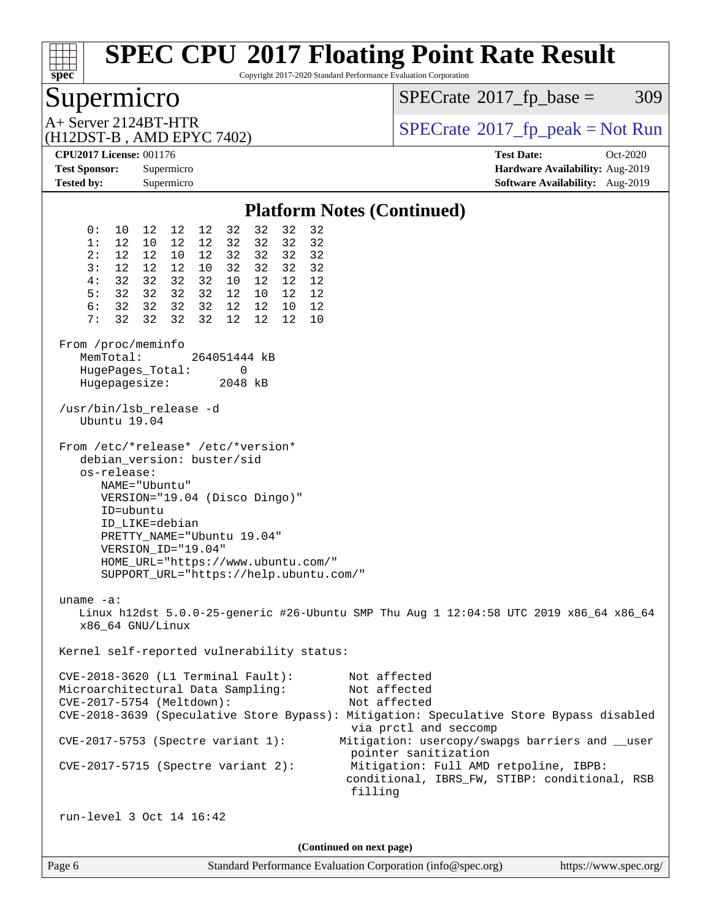

Copyright 2017-2020 Standard Performance Evaluation Corporation

## Supermicro

 $SPECTate@2017_fp\_base = 309$ 

(H12DST-B , AMD EPYC 7402)

 $A+$  Server 2124BT-HTR<br>(H12DST-R) AMD FPYC 7402)  $\begin{array}{c} | \text{SPECrate} \textcircled{\textdegree} 2017\_fp\_peak = Not Run \end{array}$  $\begin{array}{c} | \text{SPECrate} \textcircled{\textdegree} 2017\_fp\_peak = Not Run \end{array}$  $\begin{array}{c} | \text{SPECrate} \textcircled{\textdegree} 2017\_fp\_peak = Not Run \end{array}$ 

**[CPU2017 License:](http://www.spec.org/auto/cpu2017/Docs/result-fields.html#CPU2017License)** 001176 **[Test Date:](http://www.spec.org/auto/cpu2017/Docs/result-fields.html#TestDate)** Oct-2020 **[Test Sponsor:](http://www.spec.org/auto/cpu2017/Docs/result-fields.html#TestSponsor)** Supermicro **[Hardware Availability:](http://www.spec.org/auto/cpu2017/Docs/result-fields.html#HardwareAvailability)** Aug-2019 **[Tested by:](http://www.spec.org/auto/cpu2017/Docs/result-fields.html#Testedby)** Supermicro **Supermicro [Software Availability:](http://www.spec.org/auto/cpu2017/Docs/result-fields.html#SoftwareAvailability)** Aug-2019

#### **[Platform Notes \(Continued\)](http://www.spec.org/auto/cpu2017/Docs/result-fields.html#PlatformNotes)** 0: 10 12 12 12 32 32 32 32 1: 12 10 12 12 32 32 32 32 2: 12 12 10 12 32 32 32 32 3: 12 12 12 10 32 32 32 32 4: 32 32 32 32 10 12 12 12 5: 32 32 32 32 12 10 12 12 6: 32 32 32 32 12 12 10 12 7: 32 32 32 32 12 12 12 10 From /proc/meminfo MemTotal: 264051444 kB HugePages Total: 0 Hugepagesize: 2048 kB /usr/bin/lsb\_release -d Ubuntu 19.04 From /etc/\*release\* /etc/\*version\* debian\_version: buster/sid os-release: NAME="Ubuntu" VERSION="19.04 (Disco Dingo)" ID=ubuntu ID\_LIKE=debian PRETTY\_NAME="Ubuntu 19.04" VERSION\_ID="19.04" HOME\_URL="<https://www.ubuntu.com/"> SUPPORT\_URL="<https://help.ubuntu.com/"> uname -a: Linux h12dst 5.0.0-25-generic #26-Ubuntu SMP Thu Aug 1 12:04:58 UTC 2019 x86\_64 x86\_64 x86\_64 GNU/Linux Kernel self-reported vulnerability status: CVE-2018-3620 (L1 Terminal Fault): Not affected Microarchitectural Data Sampling: Not affected CVE-2017-5754 (Meltdown): Not affected CVE-2018-3639 (Speculative Store Bypass): Mitigation: Speculative Store Bypass disabled via prctl and seccomp CVE-2017-5753 (Spectre variant 1): Mitigation: usercopy/swapgs barriers and \_\_user pointer sanitization CVE-2017-5715 (Spectre variant 2): Mitigation: Full AMD retpoline, IBPB: conditional, IBRS\_FW, STIBP: conditional, RSB filling run-level 3 Oct 14 16:42 **(Continued on next page)**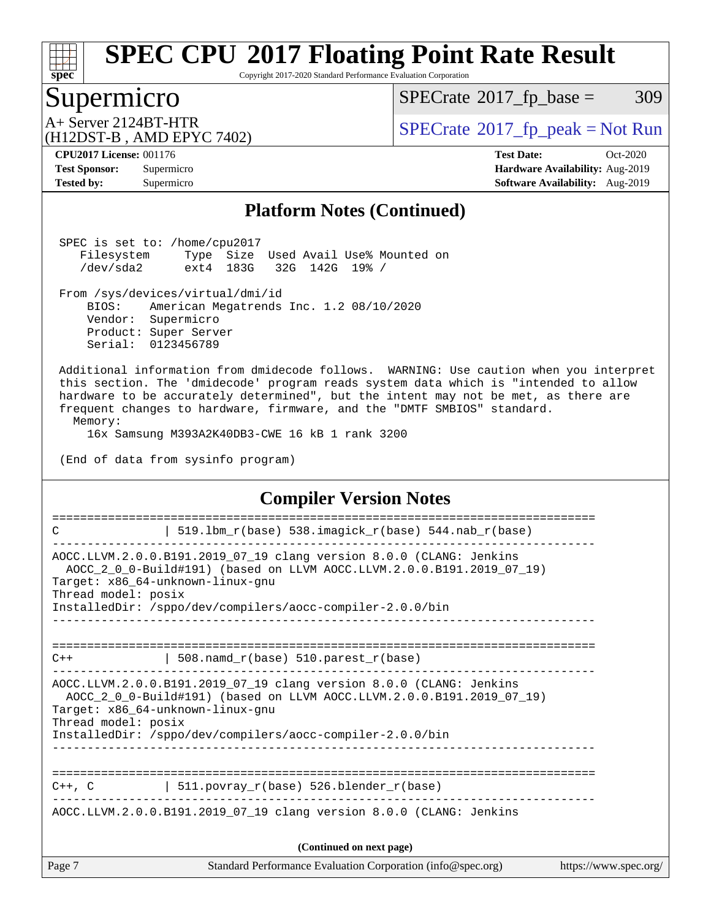

Copyright 2017-2020 Standard Performance Evaluation Corporation

## Supermicro

 $SPECTate@2017_fp\_base = 309$ 

(H12DST-B , AMD EPYC 7402)

 $A+$  Server 2124BT-HTR<br>(H12DST B AMD FBVC 7402)

**[Tested by:](http://www.spec.org/auto/cpu2017/Docs/result-fields.html#Testedby)** Supermicro **[Software Availability:](http://www.spec.org/auto/cpu2017/Docs/result-fields.html#SoftwareAvailability)** Aug-2019

**[CPU2017 License:](http://www.spec.org/auto/cpu2017/Docs/result-fields.html#CPU2017License)** 001176 **[Test Date:](http://www.spec.org/auto/cpu2017/Docs/result-fields.html#TestDate)** Oct-2020 **[Test Sponsor:](http://www.spec.org/auto/cpu2017/Docs/result-fields.html#TestSponsor)** Supermicro **[Hardware Availability:](http://www.spec.org/auto/cpu2017/Docs/result-fields.html#HardwareAvailability)** Aug-2019

#### **[Platform Notes \(Continued\)](http://www.spec.org/auto/cpu2017/Docs/result-fields.html#PlatformNotes)**

 SPEC is set to: /home/cpu2017 Filesystem Type Size Used Avail Use% Mounted on<br>/dev/sda2 ext4 183G 32G 142G 19% / /dev/sda2 ext4 183G 32G 142G 19% /

From /sys/devices/virtual/dmi/id

 BIOS: American Megatrends Inc. 1.2 08/10/2020 Vendor: Supermicro Product: Super Server Serial: 0123456789

 Additional information from dmidecode follows. WARNING: Use caution when you interpret this section. The 'dmidecode' program reads system data which is "intended to allow hardware to be accurately determined", but the intent may not be met, as there are frequent changes to hardware, firmware, and the "DMTF SMBIOS" standard. Memory:

16x Samsung M393A2K40DB3-CWE 16 kB 1 rank 3200

(End of data from sysinfo program)

#### **[Compiler Version Notes](http://www.spec.org/auto/cpu2017/Docs/result-fields.html#CompilerVersionNotes)**

| $C++$ , $C$         | 511. povray $r(base)$ 526. blender $r(base)$<br>AOCC.LLVM.2.0.0.B191.2019_07_19 clang version 8.0.0 (CLANG: Jenkins<br>(Continued on next page)                                                                                               |  |
|---------------------|-----------------------------------------------------------------------------------------------------------------------------------------------------------------------------------------------------------------------------------------------|--|
|                     |                                                                                                                                                                                                                                               |  |
|                     |                                                                                                                                                                                                                                               |  |
|                     |                                                                                                                                                                                                                                               |  |
| Thread model: posix | AOCC.LLVM.2.0.0.B191.2019 07 19 clang version 8.0.0 (CLANG: Jenkins<br>AOCC_2_0_0-Build#191) (based on LLVM AOCC.LLVM.2.0.0.B191.2019_07_19)<br>Target: x86 64-unknown-linux-gnu<br>InstalledDir: /sppo/dev/compilers/aocc-compiler-2.0.0/bin |  |
| $C++$               | 508.namd_r(base) 510.parest_r(base)                                                                                                                                                                                                           |  |
|                     |                                                                                                                                                                                                                                               |  |
| Thread model: posix | AOCC.LLVM.2.0.0.B191.2019_07_19 clang version 8.0.0 (CLANG: Jenkins<br>AOCC_2_0_0-Build#191) (based on LLVM AOCC.LLVM.2.0.0.B191.2019_07_19)<br>Target: x86_64-unknown-linux-gnu<br>InstalledDir: /sppo/dev/compilers/aocc-compiler-2.0.0/bin |  |
|                     |                                                                                                                                                                                                                                               |  |
| C                   | 519.1bm_r(base) 538.imagick_r(base) 544.nab_r(base)                                                                                                                                                                                           |  |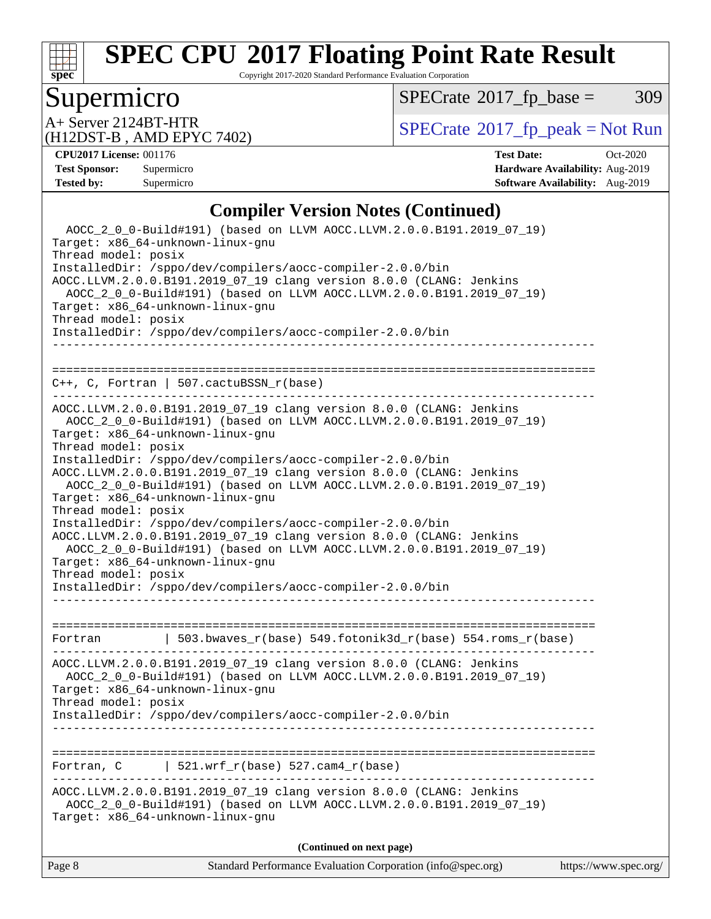

Copyright 2017-2020 Standard Performance Evaluation Corporation

## Supermicro

 $SPECTate@2017_fp\_base = 309$ 

(H12DST-B , AMD EPYC 7402)

 $A+$  Server 2124BT-HTR<br>(H12DST B AMD EBVC 7402)

**[CPU2017 License:](http://www.spec.org/auto/cpu2017/Docs/result-fields.html#CPU2017License)** 001176 **[Test Date:](http://www.spec.org/auto/cpu2017/Docs/result-fields.html#TestDate)** Oct-2020 **[Test Sponsor:](http://www.spec.org/auto/cpu2017/Docs/result-fields.html#TestSponsor)** Supermicro **[Hardware Availability:](http://www.spec.org/auto/cpu2017/Docs/result-fields.html#HardwareAvailability)** Aug-2019 **[Tested by:](http://www.spec.org/auto/cpu2017/Docs/result-fields.html#Testedby)** Supermicro **Supermicro [Software Availability:](http://www.spec.org/auto/cpu2017/Docs/result-fields.html#SoftwareAvailability)** Aug-2019

### **[Compiler Version Notes \(Continued\)](http://www.spec.org/auto/cpu2017/Docs/result-fields.html#CompilerVersionNotes)**

Page 8 Standard Performance Evaluation Corporation [\(info@spec.org\)](mailto:info@spec.org) <https://www.spec.org/> AOCC\_2\_0\_0-Build#191) (based on LLVM AOCC.LLVM.2.0.0.B191.2019\_07\_19) Target: x86\_64-unknown-linux-gnu Thread model: posix InstalledDir: /sppo/dev/compilers/aocc-compiler-2.0.0/bin AOCC.LLVM.2.0.0.B191.2019\_07\_19 clang version 8.0.0 (CLANG: Jenkins AOCC\_2\_0\_0-Build#191) (based on LLVM AOCC.LLVM.2.0.0.B191.2019\_07\_19) Target: x86\_64-unknown-linux-gnu Thread model: posix InstalledDir: /sppo/dev/compilers/aocc-compiler-2.0.0/bin ------------------------------------------------------------------------------ ============================================================================== C++, C, Fortran | 507.cactuBSSN\_r(base) ------------------------------------------------------------------------------ AOCC.LLVM.2.0.0.B191.2019\_07\_19 clang version 8.0.0 (CLANG: Jenkins AOCC\_2\_0\_0-Build#191) (based on LLVM AOCC.LLVM.2.0.0.B191.2019\_07\_19) Target: x86\_64-unknown-linux-gnu Thread model: posix InstalledDir: /sppo/dev/compilers/aocc-compiler-2.0.0/bin AOCC.LLVM.2.0.0.B191.2019\_07\_19 clang version 8.0.0 (CLANG: Jenkins AOCC\_2\_0\_0-Build#191) (based on LLVM AOCC.LLVM.2.0.0.B191.2019\_07\_19) Target: x86\_64-unknown-linux-gnu Thread model: posix InstalledDir: /sppo/dev/compilers/aocc-compiler-2.0.0/bin AOCC.LLVM.2.0.0.B191.2019\_07\_19 clang version 8.0.0 (CLANG: Jenkins AOCC\_2\_0\_0-Build#191) (based on LLVM AOCC.LLVM.2.0.0.B191.2019\_07\_19) Target: x86\_64-unknown-linux-gnu Thread model: posix InstalledDir: /sppo/dev/compilers/aocc-compiler-2.0.0/bin ------------------------------------------------------------------------------ ============================================================================== Fortran | 503.bwaves\_r(base) 549.fotonik3d\_r(base) 554.roms\_r(base) ------------------------------------------------------------------------------ AOCC.LLVM.2.0.0.B191.2019\_07\_19 clang version 8.0.0 (CLANG: Jenkins AOCC\_2\_0\_0-Build#191) (based on LLVM AOCC.LLVM.2.0.0.B191.2019\_07\_19) Target: x86\_64-unknown-linux-gnu Thread model: posix InstalledDir: /sppo/dev/compilers/aocc-compiler-2.0.0/bin ------------------------------------------------------------------------------ ============================================================================== Fortran, C  $| 521.wrf_r(base) 527.cam4_r(base)$ ------------------------------------------------------------------------------ AOCC.LLVM.2.0.0.B191.2019\_07\_19 clang version 8.0.0 (CLANG: Jenkins AOCC\_2\_0\_0-Build#191) (based on LLVM AOCC.LLVM.2.0.0.B191.2019\_07\_19) Target: x86\_64-unknown-linux-gnu **(Continued on next page)**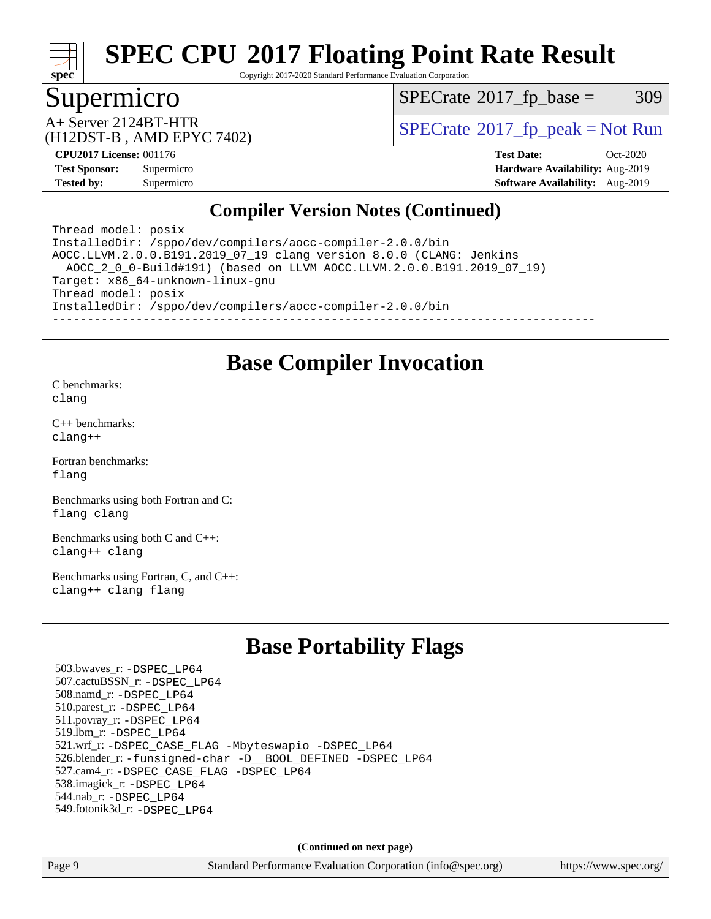

Copyright 2017-2020 Standard Performance Evaluation Corporation

## Supermicro

 $SPECTate@2017_fp\_base = 309$ 

(H12DST-B , AMD EPYC 7402)

 $A+$  Server 2124BT-HTR<br>(H12DST B, AMD EBVC 7402)

**[Tested by:](http://www.spec.org/auto/cpu2017/Docs/result-fields.html#Testedby)** Supermicro **Supermicro [Software Availability:](http://www.spec.org/auto/cpu2017/Docs/result-fields.html#SoftwareAvailability)** Aug-2019

**[CPU2017 License:](http://www.spec.org/auto/cpu2017/Docs/result-fields.html#CPU2017License)** 001176 **[Test Date:](http://www.spec.org/auto/cpu2017/Docs/result-fields.html#TestDate)** Oct-2020 **[Test Sponsor:](http://www.spec.org/auto/cpu2017/Docs/result-fields.html#TestSponsor)** Supermicro **[Hardware Availability:](http://www.spec.org/auto/cpu2017/Docs/result-fields.html#HardwareAvailability)** Aug-2019

## **[Compiler Version Notes \(Continued\)](http://www.spec.org/auto/cpu2017/Docs/result-fields.html#CompilerVersionNotes)**

Thread model: posix InstalledDir: /sppo/dev/compilers/aocc-compiler-2.0.0/bin AOCC.LLVM.2.0.0.B191.2019\_07\_19 clang version 8.0.0 (CLANG: Jenkins AOCC\_2\_0\_0-Build#191) (based on LLVM AOCC.LLVM.2.0.0.B191.2019\_07\_19) Target: x86\_64-unknown-linux-gnu Thread model: posix InstalledDir: /sppo/dev/compilers/aocc-compiler-2.0.0/bin ------------------------------------------------------------------------------

## **[Base Compiler Invocation](http://www.spec.org/auto/cpu2017/Docs/result-fields.html#BaseCompilerInvocation)**

[C benchmarks](http://www.spec.org/auto/cpu2017/Docs/result-fields.html#Cbenchmarks): [clang](http://www.spec.org/cpu2017/results/res2020q4/cpu2017-20201027-24311.flags.html#user_CCbase_clang-c)

[C++ benchmarks:](http://www.spec.org/auto/cpu2017/Docs/result-fields.html#CXXbenchmarks) [clang++](http://www.spec.org/cpu2017/results/res2020q4/cpu2017-20201027-24311.flags.html#user_CXXbase_clang-cpp)

[Fortran benchmarks](http://www.spec.org/auto/cpu2017/Docs/result-fields.html#Fortranbenchmarks): [flang](http://www.spec.org/cpu2017/results/res2020q4/cpu2017-20201027-24311.flags.html#user_FCbase_flang)

[Benchmarks using both Fortran and C](http://www.spec.org/auto/cpu2017/Docs/result-fields.html#BenchmarksusingbothFortranandC): [flang](http://www.spec.org/cpu2017/results/res2020q4/cpu2017-20201027-24311.flags.html#user_CC_FCbase_flang) [clang](http://www.spec.org/cpu2017/results/res2020q4/cpu2017-20201027-24311.flags.html#user_CC_FCbase_clang-c)

[Benchmarks using both C and C++](http://www.spec.org/auto/cpu2017/Docs/result-fields.html#BenchmarksusingbothCandCXX): [clang++](http://www.spec.org/cpu2017/results/res2020q4/cpu2017-20201027-24311.flags.html#user_CC_CXXbase_clang-cpp) [clang](http://www.spec.org/cpu2017/results/res2020q4/cpu2017-20201027-24311.flags.html#user_CC_CXXbase_clang-c)

[Benchmarks using Fortran, C, and C++:](http://www.spec.org/auto/cpu2017/Docs/result-fields.html#BenchmarksusingFortranCandCXX) [clang++](http://www.spec.org/cpu2017/results/res2020q4/cpu2017-20201027-24311.flags.html#user_CC_CXX_FCbase_clang-cpp) [clang](http://www.spec.org/cpu2017/results/res2020q4/cpu2017-20201027-24311.flags.html#user_CC_CXX_FCbase_clang-c) [flang](http://www.spec.org/cpu2017/results/res2020q4/cpu2017-20201027-24311.flags.html#user_CC_CXX_FCbase_flang)

## **[Base Portability Flags](http://www.spec.org/auto/cpu2017/Docs/result-fields.html#BasePortabilityFlags)**

 503.bwaves\_r: [-DSPEC\\_LP64](http://www.spec.org/cpu2017/results/res2020q4/cpu2017-20201027-24311.flags.html#suite_baseEXTRA_PORTABILITY503_bwaves_r_DSPEC_LP64) 507.cactuBSSN\_r: [-DSPEC\\_LP64](http://www.spec.org/cpu2017/results/res2020q4/cpu2017-20201027-24311.flags.html#suite_baseEXTRA_PORTABILITY507_cactuBSSN_r_DSPEC_LP64) 508.namd\_r: [-DSPEC\\_LP64](http://www.spec.org/cpu2017/results/res2020q4/cpu2017-20201027-24311.flags.html#suite_baseEXTRA_PORTABILITY508_namd_r_DSPEC_LP64) 510.parest\_r: [-DSPEC\\_LP64](http://www.spec.org/cpu2017/results/res2020q4/cpu2017-20201027-24311.flags.html#suite_baseEXTRA_PORTABILITY510_parest_r_DSPEC_LP64) 511.povray\_r: [-DSPEC\\_LP64](http://www.spec.org/cpu2017/results/res2020q4/cpu2017-20201027-24311.flags.html#suite_baseEXTRA_PORTABILITY511_povray_r_DSPEC_LP64) 519.lbm\_r: [-DSPEC\\_LP64](http://www.spec.org/cpu2017/results/res2020q4/cpu2017-20201027-24311.flags.html#suite_baseEXTRA_PORTABILITY519_lbm_r_DSPEC_LP64) 521.wrf\_r: [-DSPEC\\_CASE\\_FLAG](http://www.spec.org/cpu2017/results/res2020q4/cpu2017-20201027-24311.flags.html#b521.wrf_r_baseCPORTABILITY_DSPEC_CASE_FLAG) [-Mbyteswapio](http://www.spec.org/cpu2017/results/res2020q4/cpu2017-20201027-24311.flags.html#user_baseFPORTABILITY521_wrf_r_F-mbyteswapio_543c39ce38db59bcbc3b888917ef58c313007ae1c27520b689e012995ae261114051d1d5efcb4182d175ce22a6a15532d3a9999882dd2c360e6d853f41da6883) [-DSPEC\\_LP64](http://www.spec.org/cpu2017/results/res2020q4/cpu2017-20201027-24311.flags.html#suite_baseEXTRA_PORTABILITY521_wrf_r_DSPEC_LP64) 526.blender\_r: [-funsigned-char](http://www.spec.org/cpu2017/results/res2020q4/cpu2017-20201027-24311.flags.html#user_baseCPORTABILITY526_blender_r_aocc-unsigned-char) [-D\\_\\_BOOL\\_DEFINED](http://www.spec.org/cpu2017/results/res2020q4/cpu2017-20201027-24311.flags.html#b526.blender_r_baseCXXPORTABILITY_D__BOOL_DEFINED) [-DSPEC\\_LP64](http://www.spec.org/cpu2017/results/res2020q4/cpu2017-20201027-24311.flags.html#suite_baseEXTRA_PORTABILITY526_blender_r_DSPEC_LP64) 527.cam4\_r: [-DSPEC\\_CASE\\_FLAG](http://www.spec.org/cpu2017/results/res2020q4/cpu2017-20201027-24311.flags.html#b527.cam4_r_basePORTABILITY_DSPEC_CASE_FLAG) [-DSPEC\\_LP64](http://www.spec.org/cpu2017/results/res2020q4/cpu2017-20201027-24311.flags.html#suite_baseEXTRA_PORTABILITY527_cam4_r_DSPEC_LP64) 538.imagick\_r: [-DSPEC\\_LP64](http://www.spec.org/cpu2017/results/res2020q4/cpu2017-20201027-24311.flags.html#suite_baseEXTRA_PORTABILITY538_imagick_r_DSPEC_LP64) 544.nab\_r: [-DSPEC\\_LP64](http://www.spec.org/cpu2017/results/res2020q4/cpu2017-20201027-24311.flags.html#suite_baseEXTRA_PORTABILITY544_nab_r_DSPEC_LP64) 549.fotonik3d\_r: [-DSPEC\\_LP64](http://www.spec.org/cpu2017/results/res2020q4/cpu2017-20201027-24311.flags.html#suite_baseEXTRA_PORTABILITY549_fotonik3d_r_DSPEC_LP64)

**(Continued on next page)**

Page 9 Standard Performance Evaluation Corporation [\(info@spec.org\)](mailto:info@spec.org) <https://www.spec.org/>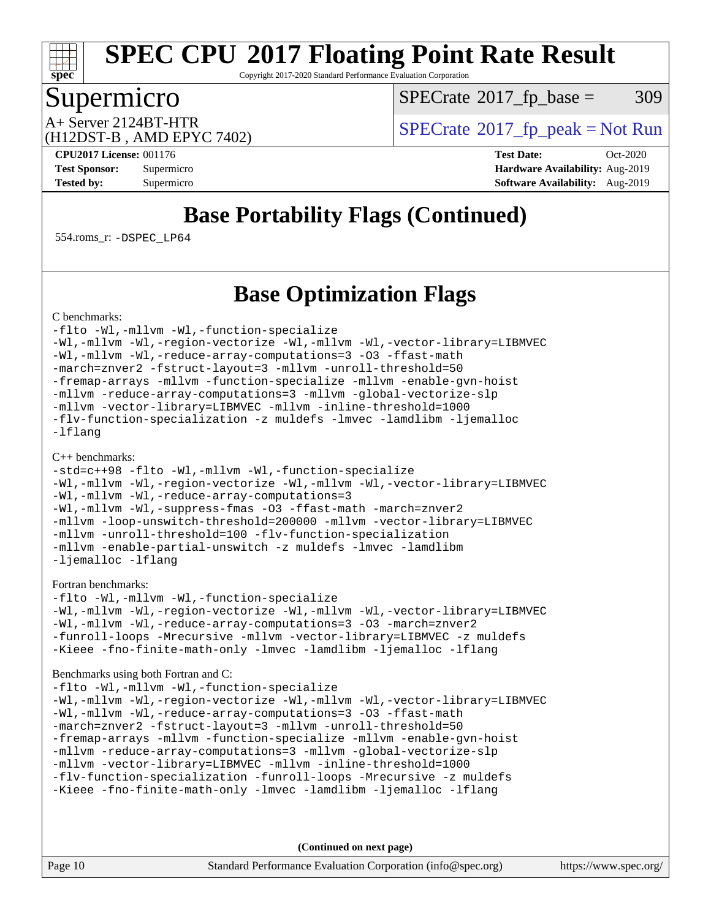

Copyright 2017-2020 Standard Performance Evaluation Corporation

## Supermicro

 $SPECTate@2017_fp\_base = 309$ 

(H12DST-B , AMD EPYC 7402)

 $A+$  Server 2124BT-HTR<br>(H12DST B, AMD EBVC 7402)

**[CPU2017 License:](http://www.spec.org/auto/cpu2017/Docs/result-fields.html#CPU2017License)** 001176 **[Test Date:](http://www.spec.org/auto/cpu2017/Docs/result-fields.html#TestDate)** Oct-2020 **[Test Sponsor:](http://www.spec.org/auto/cpu2017/Docs/result-fields.html#TestSponsor)** Supermicro **[Hardware Availability:](http://www.spec.org/auto/cpu2017/Docs/result-fields.html#HardwareAvailability)** Aug-2019 **[Tested by:](http://www.spec.org/auto/cpu2017/Docs/result-fields.html#Testedby)** Supermicro **Supermicro [Software Availability:](http://www.spec.org/auto/cpu2017/Docs/result-fields.html#SoftwareAvailability)** Aug-2019

## **[Base Portability Flags \(Continued\)](http://www.spec.org/auto/cpu2017/Docs/result-fields.html#BasePortabilityFlags)**

554.roms\_r: [-DSPEC\\_LP64](http://www.spec.org/cpu2017/results/res2020q4/cpu2017-20201027-24311.flags.html#suite_baseEXTRA_PORTABILITY554_roms_r_DSPEC_LP64)

## **[Base Optimization Flags](http://www.spec.org/auto/cpu2017/Docs/result-fields.html#BaseOptimizationFlags)**

[C benchmarks](http://www.spec.org/auto/cpu2017/Docs/result-fields.html#Cbenchmarks):

[-flto](http://www.spec.org/cpu2017/results/res2020q4/cpu2017-20201027-24311.flags.html#user_CCbase_aocc-flto) [-Wl,-mllvm -Wl,-function-specialize](http://www.spec.org/cpu2017/results/res2020q4/cpu2017-20201027-24311.flags.html#user_CCbase_F-function-specialize_7e7e661e57922243ee67c9a1251cb8910e607325179a0ce7f2884e09a6f5d4a5ef0ae4f37e8a2a11c95fc48e931f06dc2b6016f14b511fcb441e048bef1b065a) [-Wl,-mllvm -Wl,-region-vectorize](http://www.spec.org/cpu2017/results/res2020q4/cpu2017-20201027-24311.flags.html#user_CCbase_F-region-vectorize_fb6c6b5aa293c88efc6c7c2b52b20755e943585b1fe8658c35afef78727fff56e1a56891413c30e36b8e2a6f9a71126986319243e80eb6110b78b288f533c52b) [-Wl,-mllvm -Wl,-vector-library=LIBMVEC](http://www.spec.org/cpu2017/results/res2020q4/cpu2017-20201027-24311.flags.html#user_CCbase_F-use-vector-library_0a14b27fae317f283640384a31f7bfcc2bd4c1d0b5cfc618a3a430800c9b20217b00f61303eff223a3251b4f06ffbc9739dc5296db9d1fbb9ad24a3939d86d66) [-Wl,-mllvm -Wl,-reduce-array-computations=3](http://www.spec.org/cpu2017/results/res2020q4/cpu2017-20201027-24311.flags.html#user_CCbase_F-reduce-array-computations_b882aefe7a5dda4e33149f6299762b9a720dace3e498e13756f4c04e5a19edf5315c1f3993de2e61ec41e8c206231f84e05da7040e1bb5d69ba27d10a12507e4) [-O3](http://www.spec.org/cpu2017/results/res2020q4/cpu2017-20201027-24311.flags.html#user_CCbase_F-O3) [-ffast-math](http://www.spec.org/cpu2017/results/res2020q4/cpu2017-20201027-24311.flags.html#user_CCbase_aocc-ffast-math) [-march=znver2](http://www.spec.org/cpu2017/results/res2020q4/cpu2017-20201027-24311.flags.html#user_CCbase_aocc-march_3e2e19cff2eeef60c5d90b059483627c9ea47eca6d66670dbd53f9185f6439e27eb5e104cf773e9e8ab18c8842ce63e461a3e948d0214bd567ef3ade411bf467) [-fstruct-layout=3](http://www.spec.org/cpu2017/results/res2020q4/cpu2017-20201027-24311.flags.html#user_CCbase_F-struct-layout) [-mllvm -unroll-threshold=50](http://www.spec.org/cpu2017/results/res2020q4/cpu2017-20201027-24311.flags.html#user_CCbase_F-unroll-threshold_458874500b2c105d6d5cb4d7a611c40e2b16e9e3d26b355fea72d644c3673b4de4b3932662f0ed3dbec75c491a13da2d2ca81180bd779dc531083ef1e1e549dc) [-fremap-arrays](http://www.spec.org/cpu2017/results/res2020q4/cpu2017-20201027-24311.flags.html#user_CCbase_F-fremap-arrays) [-mllvm -function-specialize](http://www.spec.org/cpu2017/results/res2020q4/cpu2017-20201027-24311.flags.html#user_CCbase_F-function-specialize_233b3bdba86027f1b094368157e481c5bc59f40286dc25bfadc1858dcd5745c24fd30d5f188710db7fea399bcc9f44a80b3ce3aacc70a8870250c3ae5e1f35b8) [-mllvm -enable-gvn-hoist](http://www.spec.org/cpu2017/results/res2020q4/cpu2017-20201027-24311.flags.html#user_CCbase_F-enable-gvn-hoist_e5856354646dd6ca1333a0ad99b817e4cf8932b91b82809fd8fd47ceff7b22a89eba5c98fd3e3fa5200368fd772cec3dd56abc3c8f7b655a71b9f9848dddedd5) [-mllvm -reduce-array-computations=3](http://www.spec.org/cpu2017/results/res2020q4/cpu2017-20201027-24311.flags.html#user_CCbase_F-reduce-array-computations_aceadb8604558b566e0e3a0d7a3c1533923dd1fa0889614e16288028922629a28d5695c24d3b3be4306b1e311c54317dfffe3a2e57fbcaabc737a1798de39145) [-mllvm -global-vectorize-slp](http://www.spec.org/cpu2017/results/res2020q4/cpu2017-20201027-24311.flags.html#user_CCbase_F-global-vectorize-slp_a3935e8627af4ced727033b1ffd4db27f4d541a363d28d82bf4c2925fb3a0fd4115d6e42d13a2829f9e024d6608eb67a85cb49770f2da5c5ac8dbc737afad603) [-mllvm -vector-library=LIBMVEC](http://www.spec.org/cpu2017/results/res2020q4/cpu2017-20201027-24311.flags.html#user_CCbase_F-use-vector-library_e584e20b4f7ec96aa109254b65d8e01d864f3d68580371b9d93ed7c338191d4cfce20c3c864632264effc6bbe4c7c38153d02096a342ee92501c4a53204a7871) [-mllvm -inline-threshold=1000](http://www.spec.org/cpu2017/results/res2020q4/cpu2017-20201027-24311.flags.html#user_CCbase_dragonegg-llvm-inline-threshold_b7832241b0a6397e4ecdbaf0eb7defdc10f885c2a282fa3240fdc99844d543fda39cf8a4a9dccf68cf19b5438ac3b455264f478df15da0f4988afa40d8243bab) [-flv-function-specialization](http://www.spec.org/cpu2017/results/res2020q4/cpu2017-20201027-24311.flags.html#user_CCbase_F-flv-function-specialization) [-z muldefs](http://www.spec.org/cpu2017/results/res2020q4/cpu2017-20201027-24311.flags.html#user_CCbase_aocc-muldefs) [-lmvec](http://www.spec.org/cpu2017/results/res2020q4/cpu2017-20201027-24311.flags.html#user_CCbase_F-lmvec) [-lamdlibm](http://www.spec.org/cpu2017/results/res2020q4/cpu2017-20201027-24311.flags.html#user_CCbase_F-lamdlibm) [-ljemalloc](http://www.spec.org/cpu2017/results/res2020q4/cpu2017-20201027-24311.flags.html#user_CCbase_jemalloc-lib) [-lflang](http://www.spec.org/cpu2017/results/res2020q4/cpu2017-20201027-24311.flags.html#user_CCbase_F-lflang)

#### [C++ benchmarks:](http://www.spec.org/auto/cpu2017/Docs/result-fields.html#CXXbenchmarks)

```
-std=c++98 -flto -Wl,-mllvm -Wl,-function-specialize
-Wl,-mllvm -Wl,-region-vectorize -Wl,-mllvm -Wl,-vector-library=LIBMVEC
-Wl,-mllvm -Wl,-reduce-array-computations=3
-Wl,-mllvm -Wl,-suppress-fmas -O3 -ffast-math -march=znver2
-mllvm -loop-unswitch-threshold=200000 -mllvm -vector-library=LIBMVEC
-mllvm -unroll-threshold=100 -flv-function-specialization
-mllvm -enable-partial-unswitch -z muldefs -lmvec -lamdlibm
-ljemalloc -lflang
```
#### [Fortran benchmarks](http://www.spec.org/auto/cpu2017/Docs/result-fields.html#Fortranbenchmarks):

[-flto](http://www.spec.org/cpu2017/results/res2020q4/cpu2017-20201027-24311.flags.html#user_FCbase_aocc-flto) [-Wl,-mllvm -Wl,-function-specialize](http://www.spec.org/cpu2017/results/res2020q4/cpu2017-20201027-24311.flags.html#user_FCbase_F-function-specialize_7e7e661e57922243ee67c9a1251cb8910e607325179a0ce7f2884e09a6f5d4a5ef0ae4f37e8a2a11c95fc48e931f06dc2b6016f14b511fcb441e048bef1b065a) [-Wl,-mllvm -Wl,-region-vectorize](http://www.spec.org/cpu2017/results/res2020q4/cpu2017-20201027-24311.flags.html#user_FCbase_F-region-vectorize_fb6c6b5aa293c88efc6c7c2b52b20755e943585b1fe8658c35afef78727fff56e1a56891413c30e36b8e2a6f9a71126986319243e80eb6110b78b288f533c52b) [-Wl,-mllvm -Wl,-vector-library=LIBMVEC](http://www.spec.org/cpu2017/results/res2020q4/cpu2017-20201027-24311.flags.html#user_FCbase_F-use-vector-library_0a14b27fae317f283640384a31f7bfcc2bd4c1d0b5cfc618a3a430800c9b20217b00f61303eff223a3251b4f06ffbc9739dc5296db9d1fbb9ad24a3939d86d66) [-Wl,-mllvm -Wl,-reduce-array-computations=3](http://www.spec.org/cpu2017/results/res2020q4/cpu2017-20201027-24311.flags.html#user_FCbase_F-reduce-array-computations_b882aefe7a5dda4e33149f6299762b9a720dace3e498e13756f4c04e5a19edf5315c1f3993de2e61ec41e8c206231f84e05da7040e1bb5d69ba27d10a12507e4) [-O3](http://www.spec.org/cpu2017/results/res2020q4/cpu2017-20201027-24311.flags.html#user_FCbase_F-O3) [-march=znver2](http://www.spec.org/cpu2017/results/res2020q4/cpu2017-20201027-24311.flags.html#user_FCbase_aocc-march_3e2e19cff2eeef60c5d90b059483627c9ea47eca6d66670dbd53f9185f6439e27eb5e104cf773e9e8ab18c8842ce63e461a3e948d0214bd567ef3ade411bf467) [-funroll-loops](http://www.spec.org/cpu2017/results/res2020q4/cpu2017-20201027-24311.flags.html#user_FCbase_aocc-unroll-loops) [-Mrecursive](http://www.spec.org/cpu2017/results/res2020q4/cpu2017-20201027-24311.flags.html#user_FCbase_F-mrecursive_20a145d63f12d5750a899e17d4450b5b8b40330a9bb4af13688ca650e6fb30857bbbe44fb35cdbb895df6e5b2769de0a0d7659f51ff17acfbef6febafec4023f) [-mllvm -vector-library=LIBMVEC](http://www.spec.org/cpu2017/results/res2020q4/cpu2017-20201027-24311.flags.html#user_FCbase_F-use-vector-library_e584e20b4f7ec96aa109254b65d8e01d864f3d68580371b9d93ed7c338191d4cfce20c3c864632264effc6bbe4c7c38153d02096a342ee92501c4a53204a7871) [-z muldefs](http://www.spec.org/cpu2017/results/res2020q4/cpu2017-20201027-24311.flags.html#user_FCbase_aocc-muldefs) [-Kieee](http://www.spec.org/cpu2017/results/res2020q4/cpu2017-20201027-24311.flags.html#user_FCbase_F-kieee) [-fno-finite-math-only](http://www.spec.org/cpu2017/results/res2020q4/cpu2017-20201027-24311.flags.html#user_FCbase_aocc-fno-finite-math-only) [-lmvec](http://www.spec.org/cpu2017/results/res2020q4/cpu2017-20201027-24311.flags.html#user_FCbase_F-lmvec) [-lamdlibm](http://www.spec.org/cpu2017/results/res2020q4/cpu2017-20201027-24311.flags.html#user_FCbase_F-lamdlibm) [-ljemalloc](http://www.spec.org/cpu2017/results/res2020q4/cpu2017-20201027-24311.flags.html#user_FCbase_jemalloc-lib) [-lflang](http://www.spec.org/cpu2017/results/res2020q4/cpu2017-20201027-24311.flags.html#user_FCbase_F-lflang)

[Benchmarks using both Fortran and C](http://www.spec.org/auto/cpu2017/Docs/result-fields.html#BenchmarksusingbothFortranandC):

[-flto](http://www.spec.org/cpu2017/results/res2020q4/cpu2017-20201027-24311.flags.html#user_CC_FCbase_aocc-flto) [-Wl,-mllvm -Wl,-function-specialize](http://www.spec.org/cpu2017/results/res2020q4/cpu2017-20201027-24311.flags.html#user_CC_FCbase_F-function-specialize_7e7e661e57922243ee67c9a1251cb8910e607325179a0ce7f2884e09a6f5d4a5ef0ae4f37e8a2a11c95fc48e931f06dc2b6016f14b511fcb441e048bef1b065a) [-Wl,-mllvm -Wl,-region-vectorize](http://www.spec.org/cpu2017/results/res2020q4/cpu2017-20201027-24311.flags.html#user_CC_FCbase_F-region-vectorize_fb6c6b5aa293c88efc6c7c2b52b20755e943585b1fe8658c35afef78727fff56e1a56891413c30e36b8e2a6f9a71126986319243e80eb6110b78b288f533c52b) [-Wl,-mllvm -Wl,-vector-library=LIBMVEC](http://www.spec.org/cpu2017/results/res2020q4/cpu2017-20201027-24311.flags.html#user_CC_FCbase_F-use-vector-library_0a14b27fae317f283640384a31f7bfcc2bd4c1d0b5cfc618a3a430800c9b20217b00f61303eff223a3251b4f06ffbc9739dc5296db9d1fbb9ad24a3939d86d66) [-Wl,-mllvm -Wl,-reduce-array-computations=3](http://www.spec.org/cpu2017/results/res2020q4/cpu2017-20201027-24311.flags.html#user_CC_FCbase_F-reduce-array-computations_b882aefe7a5dda4e33149f6299762b9a720dace3e498e13756f4c04e5a19edf5315c1f3993de2e61ec41e8c206231f84e05da7040e1bb5d69ba27d10a12507e4) [-O3](http://www.spec.org/cpu2017/results/res2020q4/cpu2017-20201027-24311.flags.html#user_CC_FCbase_F-O3) [-ffast-math](http://www.spec.org/cpu2017/results/res2020q4/cpu2017-20201027-24311.flags.html#user_CC_FCbase_aocc-ffast-math) [-march=znver2](http://www.spec.org/cpu2017/results/res2020q4/cpu2017-20201027-24311.flags.html#user_CC_FCbase_aocc-march_3e2e19cff2eeef60c5d90b059483627c9ea47eca6d66670dbd53f9185f6439e27eb5e104cf773e9e8ab18c8842ce63e461a3e948d0214bd567ef3ade411bf467) [-fstruct-layout=3](http://www.spec.org/cpu2017/results/res2020q4/cpu2017-20201027-24311.flags.html#user_CC_FCbase_F-struct-layout) [-mllvm -unroll-threshold=50](http://www.spec.org/cpu2017/results/res2020q4/cpu2017-20201027-24311.flags.html#user_CC_FCbase_F-unroll-threshold_458874500b2c105d6d5cb4d7a611c40e2b16e9e3d26b355fea72d644c3673b4de4b3932662f0ed3dbec75c491a13da2d2ca81180bd779dc531083ef1e1e549dc) [-fremap-arrays](http://www.spec.org/cpu2017/results/res2020q4/cpu2017-20201027-24311.flags.html#user_CC_FCbase_F-fremap-arrays) [-mllvm -function-specialize](http://www.spec.org/cpu2017/results/res2020q4/cpu2017-20201027-24311.flags.html#user_CC_FCbase_F-function-specialize_233b3bdba86027f1b094368157e481c5bc59f40286dc25bfadc1858dcd5745c24fd30d5f188710db7fea399bcc9f44a80b3ce3aacc70a8870250c3ae5e1f35b8) [-mllvm -enable-gvn-hoist](http://www.spec.org/cpu2017/results/res2020q4/cpu2017-20201027-24311.flags.html#user_CC_FCbase_F-enable-gvn-hoist_e5856354646dd6ca1333a0ad99b817e4cf8932b91b82809fd8fd47ceff7b22a89eba5c98fd3e3fa5200368fd772cec3dd56abc3c8f7b655a71b9f9848dddedd5) [-mllvm -reduce-array-computations=3](http://www.spec.org/cpu2017/results/res2020q4/cpu2017-20201027-24311.flags.html#user_CC_FCbase_F-reduce-array-computations_aceadb8604558b566e0e3a0d7a3c1533923dd1fa0889614e16288028922629a28d5695c24d3b3be4306b1e311c54317dfffe3a2e57fbcaabc737a1798de39145) [-mllvm -global-vectorize-slp](http://www.spec.org/cpu2017/results/res2020q4/cpu2017-20201027-24311.flags.html#user_CC_FCbase_F-global-vectorize-slp_a3935e8627af4ced727033b1ffd4db27f4d541a363d28d82bf4c2925fb3a0fd4115d6e42d13a2829f9e024d6608eb67a85cb49770f2da5c5ac8dbc737afad603) [-mllvm -vector-library=LIBMVEC](http://www.spec.org/cpu2017/results/res2020q4/cpu2017-20201027-24311.flags.html#user_CC_FCbase_F-use-vector-library_e584e20b4f7ec96aa109254b65d8e01d864f3d68580371b9d93ed7c338191d4cfce20c3c864632264effc6bbe4c7c38153d02096a342ee92501c4a53204a7871) [-mllvm -inline-threshold=1000](http://www.spec.org/cpu2017/results/res2020q4/cpu2017-20201027-24311.flags.html#user_CC_FCbase_dragonegg-llvm-inline-threshold_b7832241b0a6397e4ecdbaf0eb7defdc10f885c2a282fa3240fdc99844d543fda39cf8a4a9dccf68cf19b5438ac3b455264f478df15da0f4988afa40d8243bab) [-flv-function-specialization](http://www.spec.org/cpu2017/results/res2020q4/cpu2017-20201027-24311.flags.html#user_CC_FCbase_F-flv-function-specialization) [-funroll-loops](http://www.spec.org/cpu2017/results/res2020q4/cpu2017-20201027-24311.flags.html#user_CC_FCbase_aocc-unroll-loops) [-Mrecursive](http://www.spec.org/cpu2017/results/res2020q4/cpu2017-20201027-24311.flags.html#user_CC_FCbase_F-mrecursive_20a145d63f12d5750a899e17d4450b5b8b40330a9bb4af13688ca650e6fb30857bbbe44fb35cdbb895df6e5b2769de0a0d7659f51ff17acfbef6febafec4023f) [-z muldefs](http://www.spec.org/cpu2017/results/res2020q4/cpu2017-20201027-24311.flags.html#user_CC_FCbase_aocc-muldefs) [-Kieee](http://www.spec.org/cpu2017/results/res2020q4/cpu2017-20201027-24311.flags.html#user_CC_FCbase_F-kieee) [-fno-finite-math-only](http://www.spec.org/cpu2017/results/res2020q4/cpu2017-20201027-24311.flags.html#user_CC_FCbase_aocc-fno-finite-math-only) [-lmvec](http://www.spec.org/cpu2017/results/res2020q4/cpu2017-20201027-24311.flags.html#user_CC_FCbase_F-lmvec) [-lamdlibm](http://www.spec.org/cpu2017/results/res2020q4/cpu2017-20201027-24311.flags.html#user_CC_FCbase_F-lamdlibm) [-ljemalloc](http://www.spec.org/cpu2017/results/res2020q4/cpu2017-20201027-24311.flags.html#user_CC_FCbase_jemalloc-lib) [-lflang](http://www.spec.org/cpu2017/results/res2020q4/cpu2017-20201027-24311.flags.html#user_CC_FCbase_F-lflang)

**(Continued on next page)**